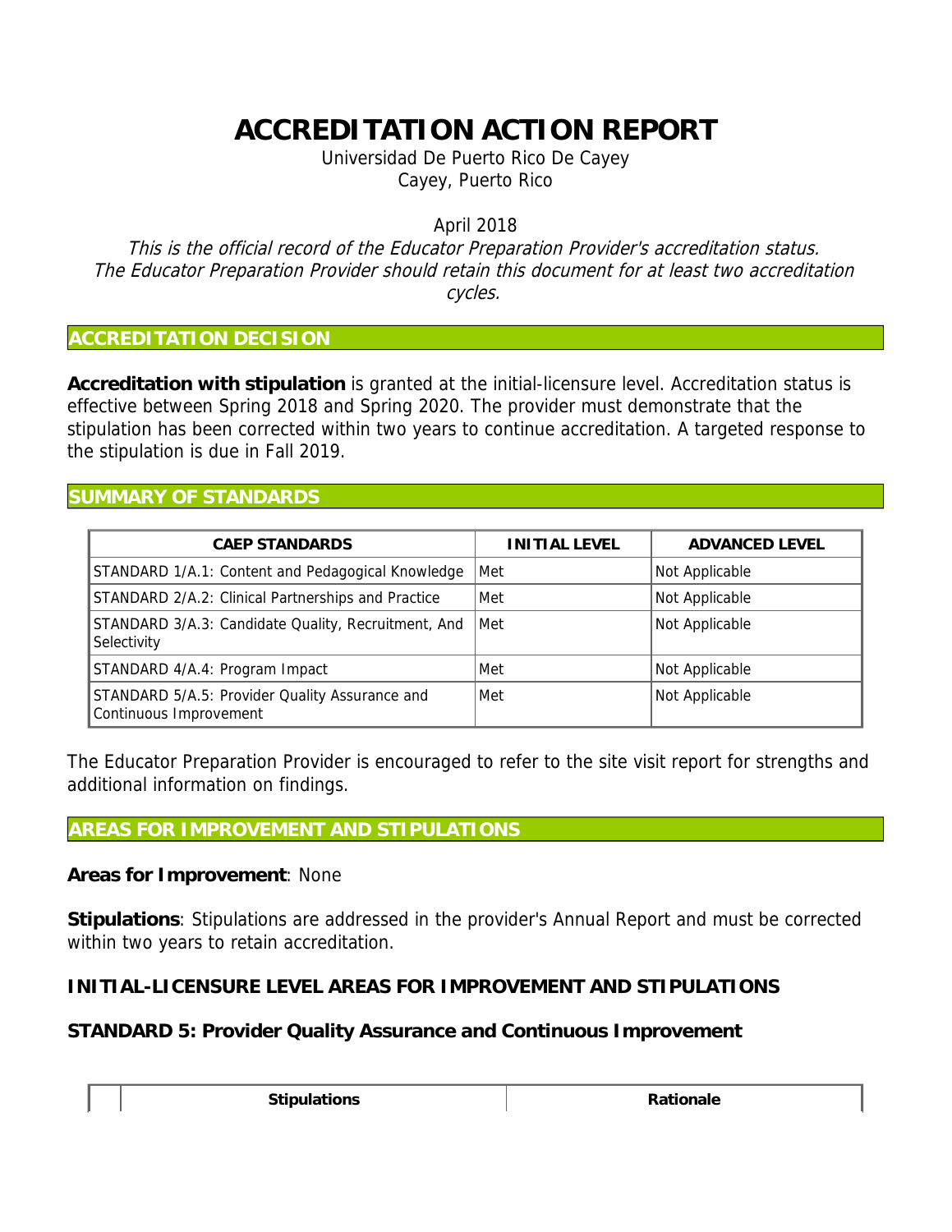## **ACCREDITATION ACTION REPORT**

Universidad De Puerto Rico De Cayey Cayey, Puerto Rico

April 2018

This is the official record of the Educator Preparation Provider's accreditation status. The Educator Preparation Provider should retain this document for at least two accreditation cycles.

## **ACCREDITATION DECISION**

**Accreditation with stipulation** is granted at the initial-licensure level. Accreditation status is effective between Spring 2018 and Spring 2020. The provider must demonstrate that the stipulation has been corrected within two years to continue accreditation. A targeted response to the stipulation is due in Fall 2019.

## **SUMMARY OF STANDARDS**

| <b>CAEP STANDARDS</b>                                                    | INITIAL LEVEL | ADVANCED LEVEL |
|--------------------------------------------------------------------------|---------------|----------------|
| STANDARD 1/A.1: Content and Pedagogical Knowledge                        | Met           | Not Applicable |
| STANDARD 2/A.2: Clinical Partnerships and Practice                       | Met           | Not Applicable |
| STANDARD 3/A.3: Candidate Quality, Recruitment, And<br>Selectivity       | Met           | Not Applicable |
| STANDARD 4/A.4: Program Impact                                           | Met           | Not Applicable |
| STANDARD 5/A.5: Provider Quality Assurance and<br>Continuous Improvement | Met           | Not Applicable |

The Educator Preparation Provider is encouraged to refer to the site visit report for strengths and additional information on findings.

## **AREAS FOR IMPROVEMENT AND STIPULATIONS**

**Areas for Improvement**: None

**Stipulations**: Stipulations are addressed in the provider's Annual Report and must be corrected within two years to retain accreditation.

**INITIAL-LICENSURE LEVEL AREAS FOR IMPROVEMENT AND STIPULATIONS**

**STANDARD 5: Provider Quality Assurance and Continuous Improvement**